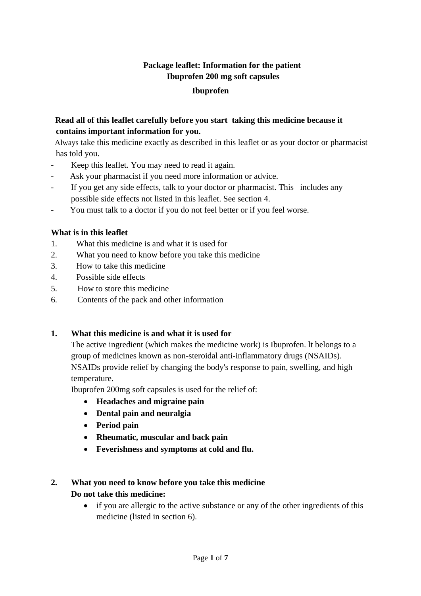# **Package leaflet: Information for the patient Ibuprofen 200 mg soft capsules Ibuprofen**

# **Read all of this leaflet carefully before you start taking this medicine because it contains important information for you.**

 Always take this medicine exactly as described in this leaflet or as your doctor or pharmacist has told you.

- Keep this leaflet. You may need to read it again.
- Ask your pharmacist if you need more information or advice.
- If you get any side effects, talk to your doctor or pharmacist. This includes any possible side effects not listed in this leaflet. See section 4.
- You must talk to a doctor if you do not feel better or if you feel worse.

# **What is in this leaflet**

- 1. What this medicine is and what it is used for
- 2. What you need to know before you take this medicine
- 3. How to take this medicine
- 4. Possible side effects
- 5. How to store this medicine
- 6. Contents of the pack and other information

# **1. What this medicine is and what it is used for**

The active ingredient (which makes the medicine work) is Ibuprofen. lt belongs to a group of medicines known as non-steroidal anti-inflammatory drugs (NSAIDs). NSAIDs provide relief by changing the body's response to pain, swelling, and high temperature.

Ibuprofen 200mg soft capsules is used for the relief of:

- **Headaches and migraine pain**
- **Dental pain and neuralgia**
- **Period pain**
- **Rheumatic, muscular and back pain**
- **Feverishness and symptoms at cold and flu.**

#### **2. What you need to know before you take this medicine Do not take this medicine:**

• if you are allergic to the active substance or any of the other ingredients of this medicine (listed in section 6).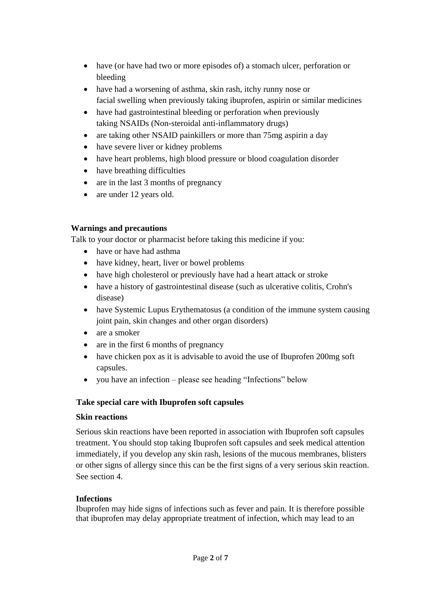- have (or have had two or more episodes of) a stomach ulcer, perforation or bleeding
- have had a worsening of asthma, skin rash, itchy runny nose or facial swelling when previously taking ibuprofen, aspirin or similar medicines
- have had gastrointestinal bleeding or perforation when previously taking NSAIDs (Non-steroidal anti-inflammatory drugs)
- are taking other NSAID painkillers or more than 75mg aspirin a day
- have severe liver or kidney problems
- have heart problems, high blood pressure or blood coagulation disorder
- have breathing difficulties
- are in the last 3 months of pregnancy
- are under 12 years old.

# **Warnings and precautions**

Talk to your doctor or pharmacist before taking this medicine if you:

- have or have had asthma
- have kidney, heart, liver or bowel problems
- have high cholesterol or previously have had a heart attack or stroke
- have a history of gastrointestinal disease (such as ulcerative colitis, Crohn's disease)
- have Systemic Lupus Erythematosus (a condition of the immune system causing joint pain, skin changes and other organ disorders)
- are a smoker
- are in the first 6 months of pregnancy
- have chicken pox as it is advisable to avoid the use of Ibuprofen 200mg soft capsules.
- you have an infection please see heading "Infections" below

# **Take special care with Ibuprofen soft capsules**

# **Skin reactions**

Serious skin reactions have been reported in association with Ibuprofen soft capsules treatment. You should stop taking Ibuprofen soft capsules and seek medical attention immediately, if you develop any skin rash, lesions of the mucous membranes, blisters or other signs of allergy since this can be the first signs of a very serious skin reaction. See section 4.

# **Infections**

Ibuprofen may hide signs of infections such as fever and pain. It is therefore possible that ibuprofen may delay appropriate treatment of infection, which may lead to an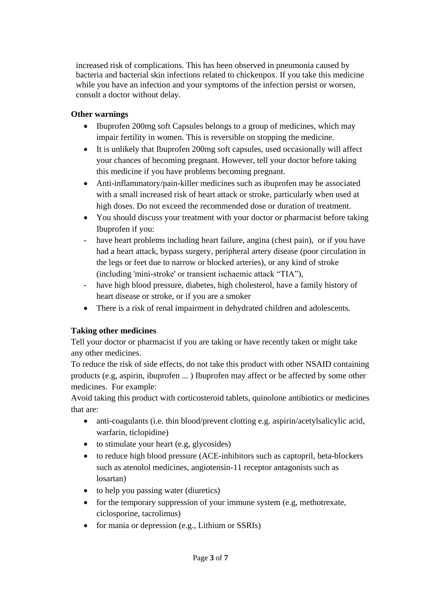increased risk of complications. This has been observed in pneumonia caused by bacteria and bacterial skin infections related to chickenpox. If you take this medicine while you have an infection and your symptoms of the infection persist or worsen, consult a doctor without delay.

# **Other warnings**

- Ibuprofen 200mg soft Capsules belongs to a group of medicines, which may impair fertility in women. This is reversible on stopping the medicine.
- It is unlikely that Ibuprofen 200mg soft capsules, used occasionally will affect your chances of becoming pregnant. However, tell your doctor before taking this medicine if you have problems becoming pregnant.
- Anti-inflammatory/pain-killer medicines such as ibuprofen may be associated with a small increased risk of heart attack or stroke, particularly when used at high doses. Do not exceed the recommended dose or duration of treatment.
- You should discuss your treatment with your doctor or pharmacist before taking Ibuprofen if you:
- have heart problems including heart failure, angina (chest pain), or if you have had a heart attack, bypass surgery, peripheral artery disease (poor circulation in the legs or feet due to narrow or blocked arteries), or any kind of stroke (including 'mini-stroke' or transient ischaemic attack "TIA"),
- have high blood pressure, diabetes, high cholesterol, have a family history of heart disease or stroke, or if you are a smoker
- There is a risk of renal impairment in dehydrated children and adolescents.

# **Taking other medicines**

Tell your doctor or pharmacist if you are taking or have recently taken or might take any other medicines.

To reduce the risk of side effects, do not take this product with other NSAID containing products (e.g, aspirin, ibuprofen ... ) Ibuprofen may affect or be affected by some other medicines. For example:

Avoid taking this product with corticosteroid tablets, quinolone antibiotics or medicines that are:

- anti-coagulants (i.e. thin blood/prevent clotting e.g. aspirin/acetylsalicylic acid, warfarin, ticlopidine)
- $\bullet$  to stimulate your heart (e.g, glycosides)
- to reduce high blood pressure (ACE-inhibitors such as captopril, beta-blockers such as atenolol medicines, angiotensin-11 receptor antagonists such as losartan)
- to help you passing water (diuretics)
- for the temporary suppression of your immune system (e.g, methotrexate, ciclosporine, tacrolimus)
- for mania or depression (e.g., Lithium or SSRIs)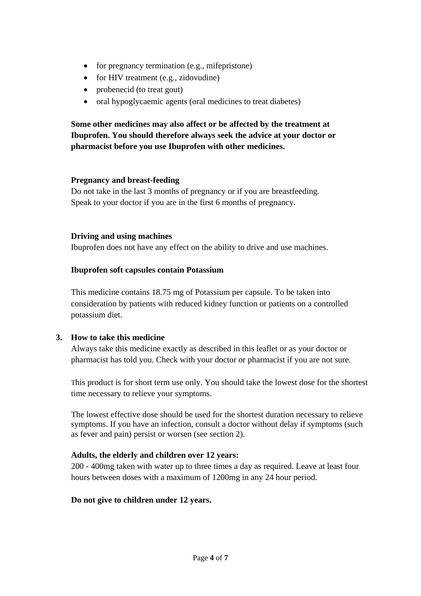- for pregnancy termination (e.g., mifepristone)
- for HIV treatment (e.g., zidovudine)
- probenecid (to treat gout)
- oral hypoglycaemic agents (oral medicines to treat diabetes)

**Some other medicines may also affect or be affected by the treatment at Ibuprofen. You should therefore always seek the advice at your doctor or pharmacist before you use Ibuprofen with other medicines.**

#### **Pregnancy and breast-feeding**

Do not take in the last 3 months of pregnancy or if you are breastfeeding. Speak to your doctor if you are in the first 6 months of pregnancy.

#### **Driving and using machines**

Ibuprofen does not have any effect on the ability to drive and use machines.

#### **Ibuprofen soft capsules contain Potassium**

This medicine contains 18.75 mg of Potassium per capsule. To be taken into consideration by patients with reduced kidney function or patients on a controlled potassium diet.

# **3. How to take this medicine**

Always take this medicine exactly as described in this leaflet or as your doctor or pharmacist has told you. Check with your doctor or pharmacist if you are not sure.

This product is for short term use only. You should take the lowest dose for the shortest time necessary to relieve your symptoms.

The lowest effective dose should be used for the shortest duration necessary to relieve symptoms. If you have an infection, consult a doctor without delay if symptoms (such as fever and pain) persist or worsen (see section 2).

# **Adults, the elderly and children over 12 years:**

200 - 400mg taken with water up to three times a day as required. Leave at least four hours between doses with a maximum of 1200mg in any 24 hour period.

#### **Do not give to children under 12 years.**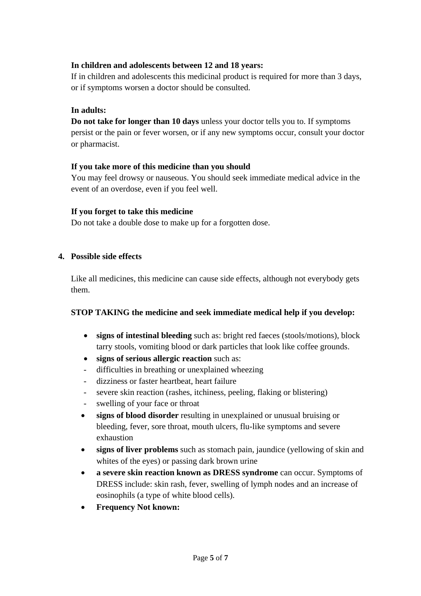# **In children and adolescents between 12 and 18 years:**

If in children and adolescents this medicinal product is required for more than 3 days, or if symptoms worsen a doctor should be consulted.

# **In adults:**

**Do not take for longer than 10 days** unless your doctor tells you to. If symptoms persist or the pain or fever worsen, or if any new symptoms occur, consult your doctor or pharmacist.

# **If you take more of this medicine than you should**

You may feel drowsy or nauseous. You should seek immediate medical advice in the event of an overdose, even if you feel well.

# **If you forget to take this medicine**

Do not take a double dose to make up for a forgotten dose.

# **4. Possible side effects**

Like all medicines, this medicine can cause side effects, although not everybody gets them.

# **STOP TAKING the medicine and seek immediate medical help if you develop:**

- **signs of intestinal bleeding** such as: bright red faeces (stools/motions), block tarry stools, vomiting blood or dark particles that look like coffee grounds.
- **signs of serious allergic reaction** such as:
- difficulties in breathing or unexplained wheezing
- dizziness or faster heartbeat, heart failure
- severe skin reaction (rashes, itchiness, peeling, flaking or blistering)
- swelling of your face or throat
- **signs of blood disorder** resulting in unexplained or unusual bruising or bleeding, fever, sore throat, mouth ulcers, flu-like symptoms and severe exhaustion
- **signs of liver problems** such as stomach pain, jaundice (yellowing of skin and whites of the eyes) or passing dark brown urine
- **a severe skin reaction known as DRESS syndrome** can occur. Symptoms of DRESS include: skin rash, fever, swelling of lymph nodes and an increase of eosinophils (a type of white blood cells).
- **Frequency Not known:**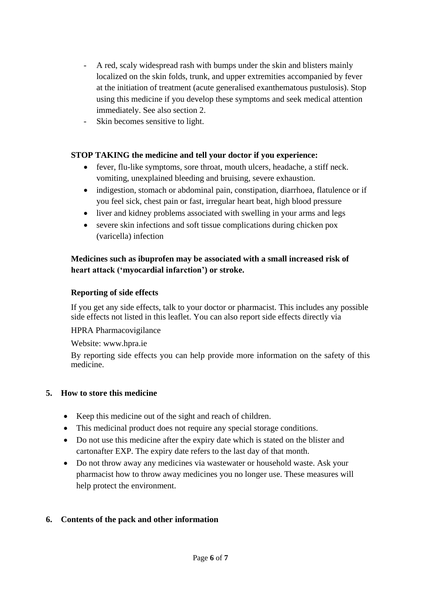- A red, scaly widespread rash with bumps under the skin and blisters mainly localized on the skin folds, trunk, and upper extremities accompanied by fever at the initiation of treatment (acute generalised exanthematous pustulosis). Stop using this medicine if you develop these symptoms and seek medical attention immediately. See also section 2.
- Skin becomes sensitive to light.

# **STOP TAKING the medicine and tell your doctor if you experience:**

- fever, flu-like symptoms, sore throat, mouth ulcers, headache, a stiff neck. vomiting, unexplained bleeding and bruising, severe exhaustion.
- indigestion, stomach or abdominal pain, constipation, diarrhoea, flatulence or if you feel sick, chest pain or fast, irregular heart beat, high blood pressure
- liver and kidney problems associated with swelling in your arms and legs
- severe skin infections and soft tissue complications during chicken pox (varicella) infection

# **Medicines such as ibuprofen may be associated with a small increased risk of heart attack ('myocardial infarction') or stroke.**

#### **Reporting of side effects**

If you get any side effects, talk to your doctor or pharmacist. This includes any possible side effects not listed in this leaflet. You can also report side effects directly via

#### HPRA Pharmacovigilance

Website: www.hpra.ie

By reporting side effects you can help provide more information on the safety of this medicine.

#### **5. How to store this medicine**

- Keep this medicine out of the sight and reach of children.
- This medicinal product does not require any special storage conditions.
- Do not use this medicine after the expiry date which is stated on the blister and cartonafter EXP. The expiry date refers to the last day of that month.
- Do not throw away any medicines via wastewater or household waste. Ask your pharmacist how to throw away medicines you no longer use. These measures will help protect the environment.

# **6. Contents of the pack and other information**